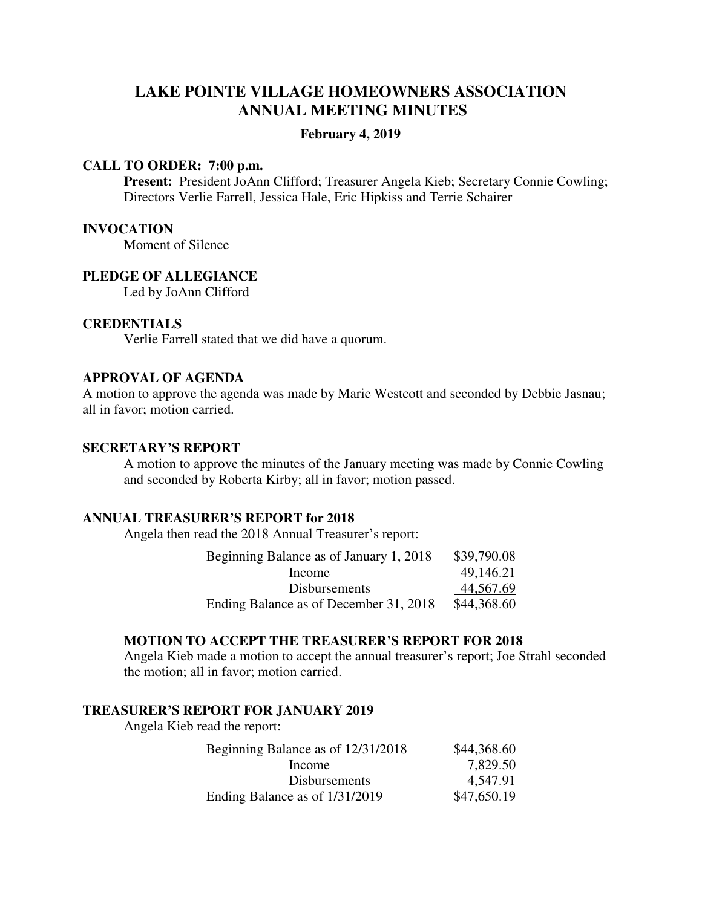# **LAKE POINTE VILLAGE HOMEOWNERS ASSOCIATION ANNUAL MEETING MINUTES**

#### **February 4, 2019**

#### **CALL TO ORDER: 7:00 p.m.**

 **Present:** President JoAnn Clifford; Treasurer Angela Kieb; Secretary Connie Cowling; Directors Verlie Farrell, Jessica Hale, Eric Hipkiss and Terrie Schairer

### **INVOCATION**

Moment of Silence

### **PLEDGE OF ALLEGIANCE**

Led by JoAnn Clifford

# **CREDENTIALS**

Verlie Farrell stated that we did have a quorum.

## **APPROVAL OF AGENDA**

A motion to approve the agenda was made by Marie Westcott and seconded by Debbie Jasnau; all in favor; motion carried.

#### **SECRETARY'S REPORT**

A motion to approve the minutes of the January meeting was made by Connie Cowling and seconded by Roberta Kirby; all in favor; motion passed.

### **ANNUAL TREASURER'S REPORT for 2018**

Angela then read the 2018 Annual Treasurer's report:

| Beginning Balance as of January 1, 2018 | \$39,790.08 |
|-----------------------------------------|-------------|
| Income                                  | 49,146.21   |
| <b>Disbursements</b>                    | 44,567.69   |
| Ending Balance as of December 31, 2018  | \$44,368.60 |

#### **MOTION TO ACCEPT THE TREASURER'S REPORT FOR 2018**

Angela Kieb made a motion to accept the annual treasurer's report; Joe Strahl seconded the motion; all in favor; motion carried.

#### **TREASURER'S REPORT FOR JANUARY 2019**

Angela Kieb read the report:

| Beginning Balance as of 12/31/2018 | \$44,368.60 |
|------------------------------------|-------------|
| Income                             | 7,829.50    |
| <b>Disbursements</b>               | 4,547.91    |
| Ending Balance as of 1/31/2019     | \$47,650.19 |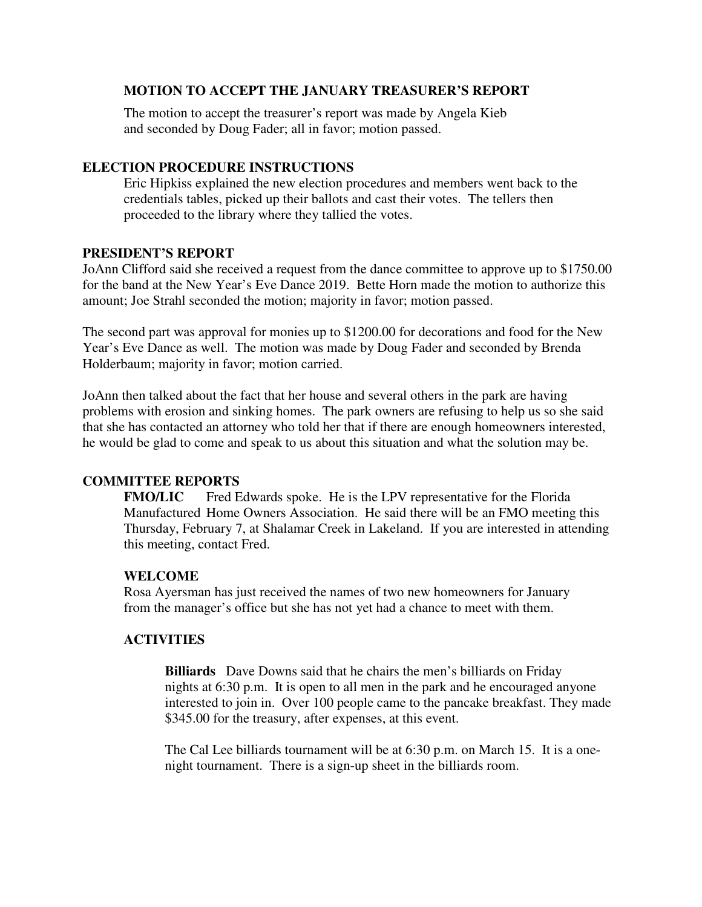# **MOTION TO ACCEPT THE JANUARY TREASURER'S REPORT**

The motion to accept the treasurer's report was made by Angela Kieb and seconded by Doug Fader; all in favor; motion passed.

# **ELECTION PROCEDURE INSTRUCTIONS**

Eric Hipkiss explained the new election procedures and members went back to the credentials tables, picked up their ballots and cast their votes. The tellers then proceeded to the library where they tallied the votes.

## **PRESIDENT'S REPORT**

JoAnn Clifford said she received a request from the dance committee to approve up to \$1750.00 for the band at the New Year's Eve Dance 2019. Bette Horn made the motion to authorize this amount; Joe Strahl seconded the motion; majority in favor; motion passed.

The second part was approval for monies up to \$1200.00 for decorations and food for the New Year's Eve Dance as well. The motion was made by Doug Fader and seconded by Brenda Holderbaum; majority in favor; motion carried.

JoAnn then talked about the fact that her house and several others in the park are having problems with erosion and sinking homes. The park owners are refusing to help us so she said that she has contacted an attorney who told her that if there are enough homeowners interested, he would be glad to come and speak to us about this situation and what the solution may be.

# **COMMITTEE REPORTS**

**FMO/LIC** Fred Edwards spoke. He is the LPV representative for the Florida Manufactured Home Owners Association. He said there will be an FMO meeting this Thursday, February 7, at Shalamar Creek in Lakeland. If you are interested in attending this meeting, contact Fred.

## **WELCOME**

Rosa Ayersman has just received the names of two new homeowners for January from the manager's office but she has not yet had a chance to meet with them.

# **ACTIVITIES**

 **Billiards** Dave Downs said that he chairs the men's billiards on Friday nights at 6:30 p.m. It is open to all men in the park and he encouraged anyone interested to join in. Over 100 people came to the pancake breakfast. They made \$345.00 for the treasury, after expenses, at this event.

 The Cal Lee billiards tournament will be at 6:30 p.m. on March 15. It is a one night tournament. There is a sign-up sheet in the billiards room.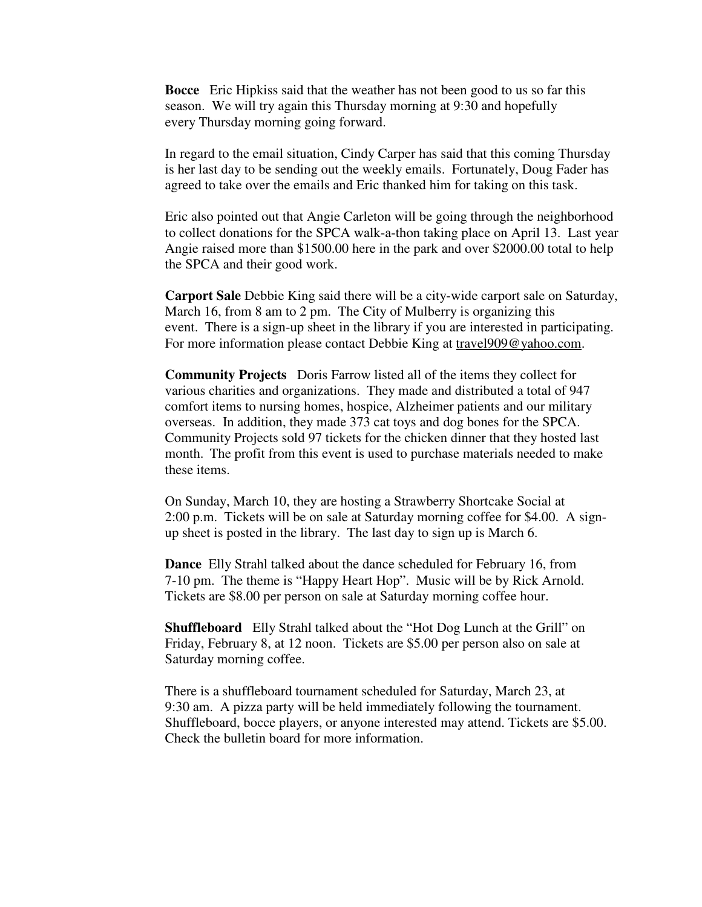**Bocce** Eric Hipkiss said that the weather has not been good to us so far this season. We will try again this Thursday morning at 9:30 and hopefully every Thursday morning going forward.

 In regard to the email situation, Cindy Carper has said that this coming Thursday is her last day to be sending out the weekly emails. Fortunately, Doug Fader has agreed to take over the emails and Eric thanked him for taking on this task.

 Eric also pointed out that Angie Carleton will be going through the neighborhood to collect donations for the SPCA walk-a-thon taking place on April 13. Last year Angie raised more than \$1500.00 here in the park and over \$2000.00 total to help the SPCA and their good work.

 **Carport Sale** Debbie King said there will be a city-wide carport sale on Saturday, March 16, from 8 am to 2 pm. The City of Mulberry is organizing this event. There is a sign-up sheet in the library if you are interested in participating. For more information please contact Debbie King at travel909@yahoo.com.

 **Community Projects** Doris Farrow listed all of the items they collect for various charities and organizations. They made and distributed a total of 947 comfort items to nursing homes, hospice, Alzheimer patients and our military overseas. In addition, they made 373 cat toys and dog bones for the SPCA. Community Projects sold 97 tickets for the chicken dinner that they hosted last month. The profit from this event is used to purchase materials needed to make these items.

 On Sunday, March 10, they are hosting a Strawberry Shortcake Social at 2:00 p.m. Tickets will be on sale at Saturday morning coffee for \$4.00. A sign up sheet is posted in the library. The last day to sign up is March 6.

 **Dance** Elly Strahl talked about the dance scheduled for February 16, from 7-10 pm. The theme is "Happy Heart Hop". Music will be by Rick Arnold. Tickets are \$8.00 per person on sale at Saturday morning coffee hour.

 **Shuffleboard** Elly Strahl talked about the "Hot Dog Lunch at the Grill" on Friday, February 8, at 12 noon. Tickets are \$5.00 per person also on sale at Saturday morning coffee.

 There is a shuffleboard tournament scheduled for Saturday, March 23, at 9:30 am. A pizza party will be held immediately following the tournament. Shuffleboard, bocce players, or anyone interested may attend. Tickets are \$5.00. Check the bulletin board for more information.